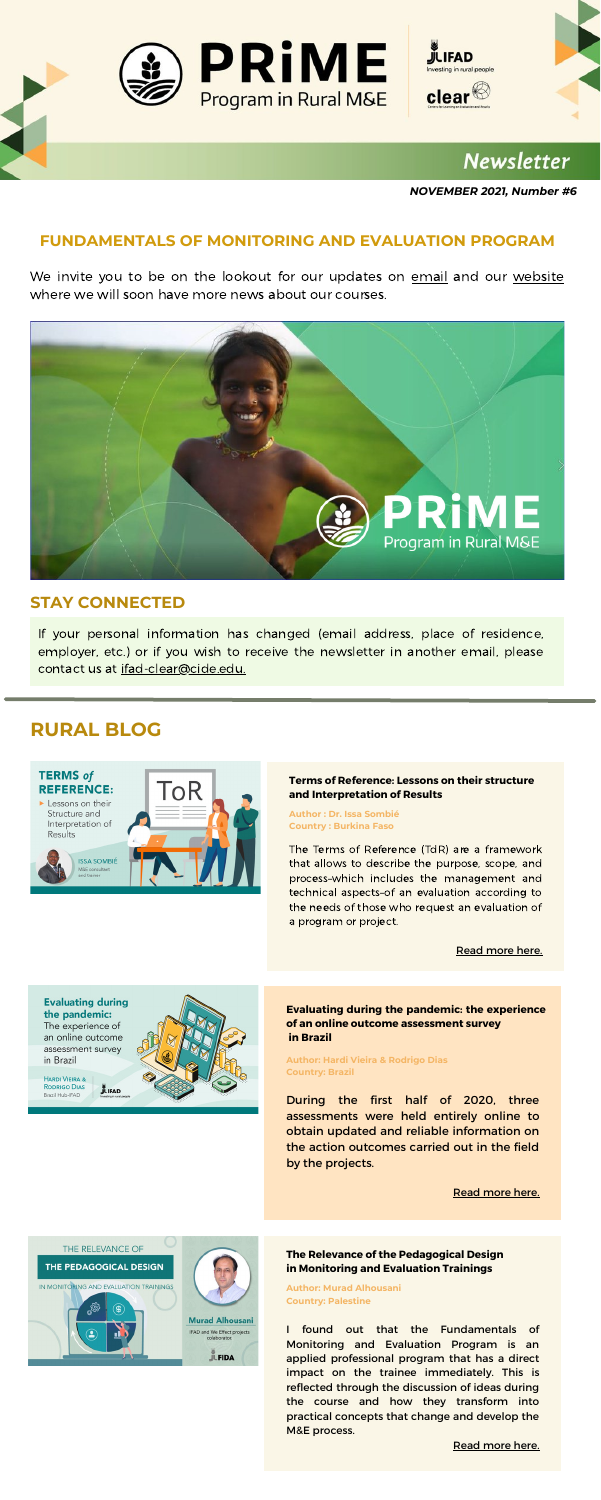#### **Terms of Reference: Lessons on their structure and Interpretation of Results**

**Author : Dr. Issa Sombié Country : Burkina Faso**

The Terms of Reference (TdR) are a framework that allows to describe the purpose, scope, and process–which includes the management and technical aspects–of an evaluation according to

the needs of those who request an evaluation of a program or project.

Read [more](https://www.primetraining.global/terms-of-reference-lessons-on-their-structure-and-interpretation-of-results/) here.



#### *Autor: Hardi Vieira and Rodrigo Dias/* **in Monitoring and Evaluation Trainings The Relevance of the Pedagogical Design**

*Brazil Hub-IFAD* **Author: Murad Alhousani Country: Palestine**

We invite you to be on the lookout for our updates on [email](mailto:ifad-clear@cide.edu) and our [website](https://www.primetraining.global/) where we will soon have more news about our courses.



I found out that the Fundamentals of Monitoring and Evaluation Program is an applied professional program that has a direct impact on the trainee immediately. This is reflected through the discussion of ideas during the course and how they transform into practical concepts that change and develop the M&E process.

Read [more](https://www.primetraining.global/the-relevance-of-the-pedagogical-design-in-monitoring-and-evaluation-training/) here.

# **RURAL BLOG**



## **FUNDAMENTALS OF MONITORING AND EVALUATION PROGRAM**







*NOVEMBER 2021, Number #6*

## **STAY CONNECTED**

If your personal information has changed (email address, place of residence, employer, etc.) or if you wish to receive the newsletter in another email, please contact us at [ifad-clear@cide.edu.](mailto:ifad-clear@cide.edu)

> **Evaluating during the pandemic: the experience of an online outcome assessment survey in Brazil**

**Author: Hardi Vieira & Rodrigo Dias Country: Brazil**

During the first half of 2020, three assessments were held entirely online to obtain updated and reliable information on the action outcomes carried out in the field by the projects.

Read [more](https://www.primetraining.global/evaluating-during-the-pandemic-the-experience-of-an-online-outcome-assessment-survey-in-brazil/) here.